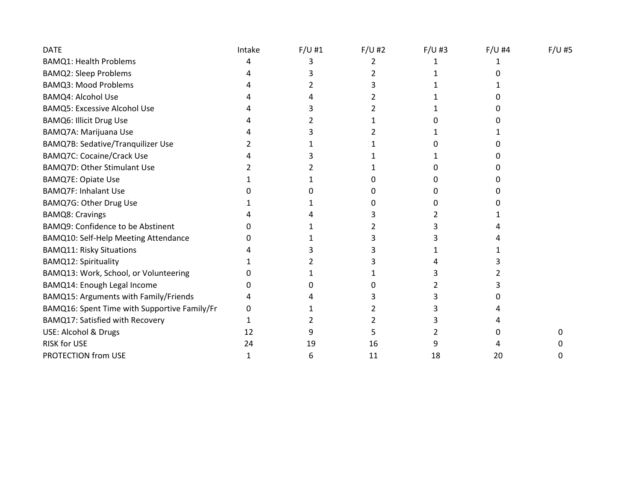| <b>DATE</b>                                  | Intake | $F/U$ #1 | $F/U$ #2 | $F/U$ #3 | $F/U$ #4 | $F/U$ #5 |
|----------------------------------------------|--------|----------|----------|----------|----------|----------|
| <b>BAMQ1: Health Problems</b>                | 4      |          |          |          |          |          |
| <b>BAMQ2: Sleep Problems</b>                 |        |          |          |          |          |          |
| <b>BAMQ3: Mood Problems</b>                  |        |          |          |          |          |          |
| <b>BAMQ4: Alcohol Use</b>                    |        |          |          |          |          |          |
| <b>BAMQ5: Excessive Alcohol Use</b>          |        |          |          |          |          |          |
| <b>BAMQ6: Illicit Drug Use</b>               |        |          |          |          |          |          |
| BAMQ7A: Marijuana Use                        |        |          |          |          |          |          |
| BAMQ7B: Sedative/Tranquilizer Use            |        |          |          |          |          |          |
| <b>BAMQ7C: Cocaine/Crack Use</b>             |        |          |          |          |          |          |
| <b>BAMQ7D: Other Stimulant Use</b>           |        |          |          |          |          |          |
| <b>BAMQ7E: Opiate Use</b>                    |        |          |          |          |          |          |
| <b>BAMQ7F: Inhalant Use</b>                  |        |          |          |          |          |          |
| BAMQ7G: Other Drug Use                       |        |          |          |          |          |          |
| <b>BAMQ8: Cravings</b>                       |        |          |          |          |          |          |
| BAMQ9: Confidence to be Abstinent            |        |          |          |          |          |          |
| BAMQ10: Self-Help Meeting Attendance         |        |          |          |          |          |          |
| <b>BAMQ11: Risky Situations</b>              |        |          |          |          |          |          |
| <b>BAMQ12: Spirituality</b>                  |        |          |          |          |          |          |
| BAMQ13: Work, School, or Volunteering        |        |          |          |          |          |          |
| BAMQ14: Enough Legal Income                  |        |          |          |          |          |          |
| BAMQ15: Arguments with Family/Friends        |        |          |          |          |          |          |
| BAMQ16: Spent Time with Supportive Family/Fr |        |          |          |          |          |          |
| BAMQ17: Satisfied with Recovery              |        |          |          |          |          |          |
| USE: Alcohol & Drugs                         | 12     |          |          |          |          |          |
| <b>RISK for USE</b>                          | 24     | 19       | 16       |          |          |          |
| PROTECTION from USE                          |        | 6        | 11       | 18       | 20       |          |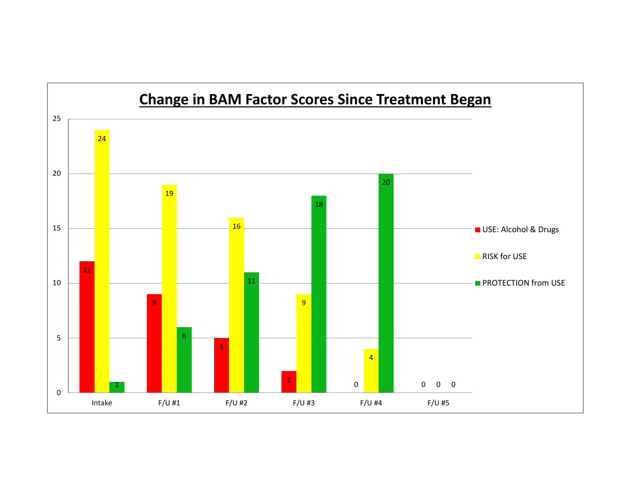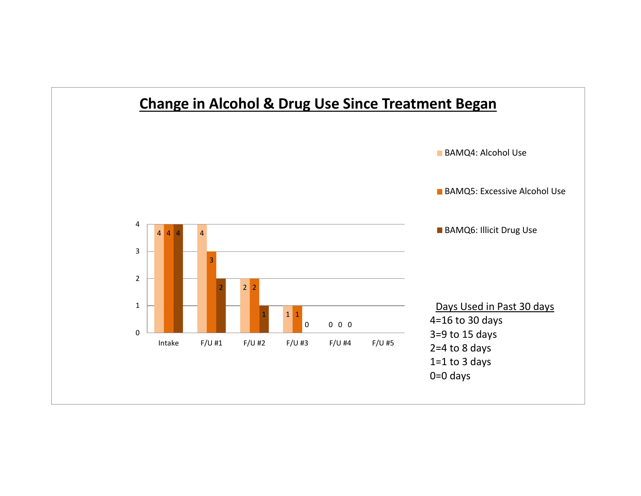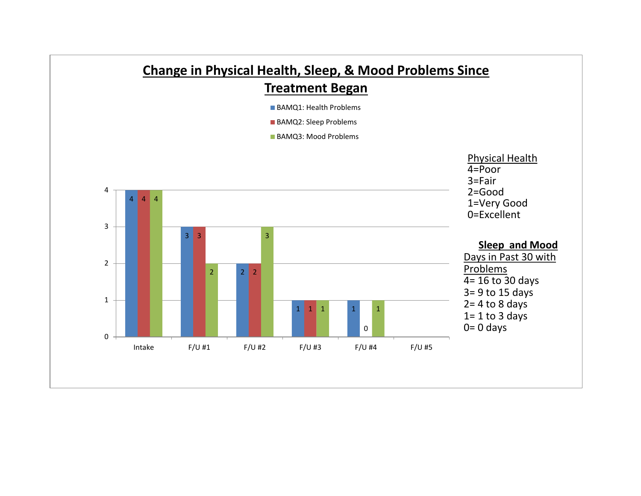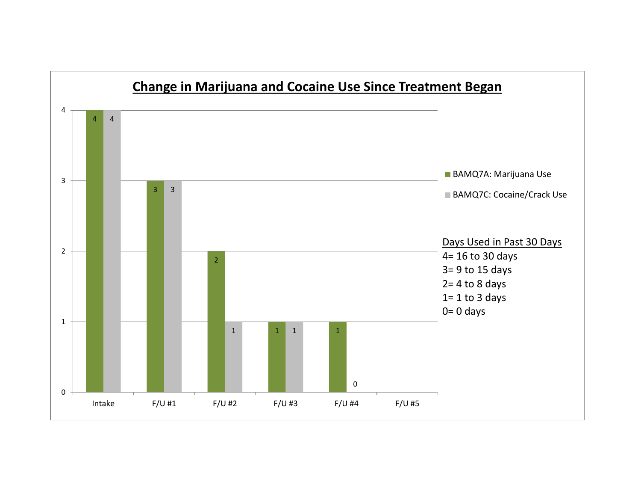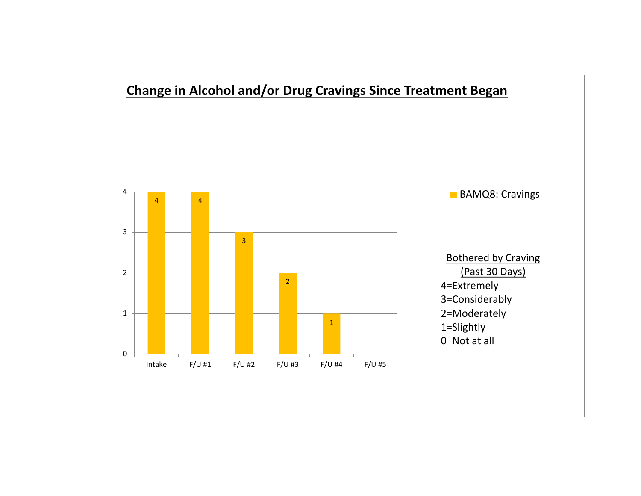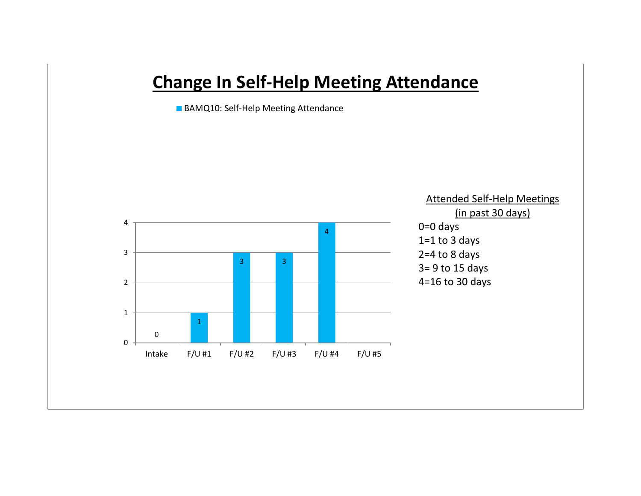## **Change In Self-Help Meeting Attendance**

**BAMQ10: Self-Help Meeting Attendance** 

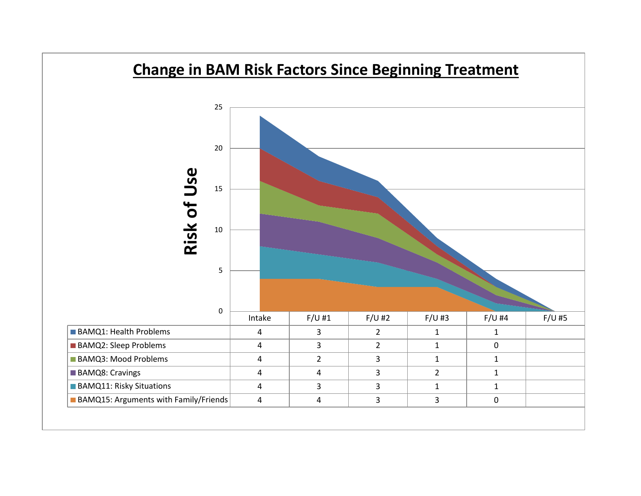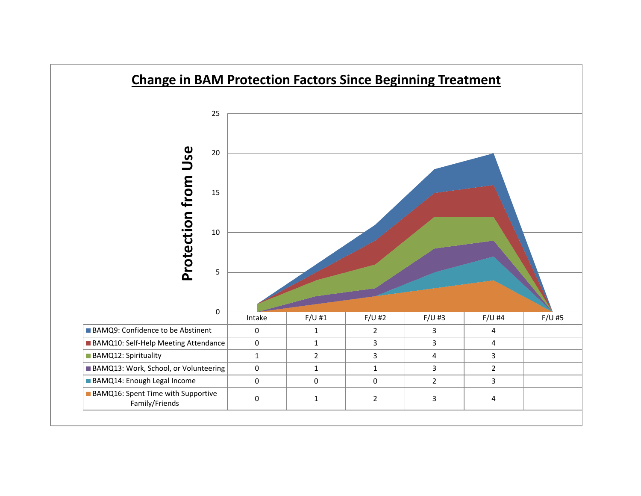